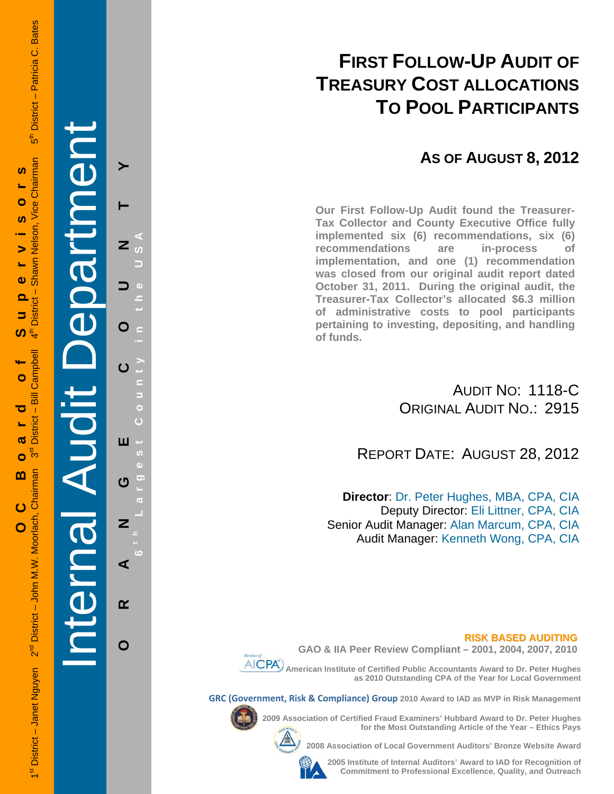## **FIRST FOLLOW-UP AUDIT OF TREASURY COST ALLOCATIONS TO POOL PARTICIPANTS**

## **AS OF AUGUST 8, 2012**

**Our First Follow-Up Audit found the Treasurer-Tax Collector and County Executive Office fully implemented six (6) recommendations, six (6) recommendations are in-process of implementation, and one (1) recommendation was closed from our original audit report dated October 31, 2011. During the original audit, the Treasurer-Tax Collector's allocated \$6.3 million of administrative costs to pool participants pertaining to investing, depositing, and handling of funds.**

> AUDIT NO: 1118-C ORIGINAL AUDIT NO.: 2915

REPORT DATE: AUGUST 28, 2012

**Director**: Dr. Peter Hughes, MBA, CPA, CIA Deputy Director: Eli Littner, CPA, CIA Senior Audit Manager: Alan Marcum, CPA, CIA Audit Manager: Kenneth Wong, CPA, CIA

### **RISK BASED AUDITING**





**GRC (Government, Risk & Compliance) Group 2010 Award to IAD as MVP in Risk Management** 



**2009 Association of Certified Fraud Examiners' Hubbard Award to Dr. Peter Hughes** 

**2008 Association of Local Government Auditors' Bronze Website Award** 

**2005 Institute of Internal Auditors' Award to IAD for Recognition of Commitment to Professional Excellence, Quality, and Outreach**

**for the Most Outstanding Article of the Year – Ethics Pays** 

Internal Audit Department O ш ෆ Z ⋖  $\alpha$ O

**ORANGE COUNTY 6 t h Lar**

**g est Count y in the USA**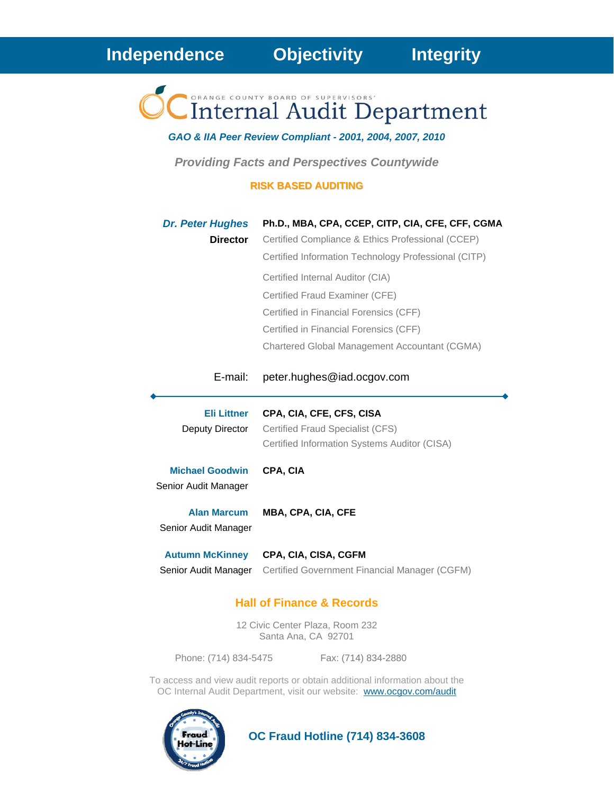Internal Audit Department

*GAO & IIA Peer Review Compliant - 2001, 2004, 2007, 2010* 

*Providing Facts and Perspectives Countywide* 

### **RISK BASED AUDITING**

| <b>Dr. Peter Hughes</b><br><b>Director</b>     | Ph.D., MBA, CPA, CCEP, CITP, CIA, CFE, CFF, CGMA<br>Certified Compliance & Ethics Professional (CCEP)<br>Certified Information Technology Professional (CITP)<br>Certified Internal Auditor (CIA)<br>Certified Fraud Examiner (CFE)<br>Certified in Financial Forensics (CFF)<br>Certified in Financial Forensics (CFF) |
|------------------------------------------------|-------------------------------------------------------------------------------------------------------------------------------------------------------------------------------------------------------------------------------------------------------------------------------------------------------------------------|
| E-mail:                                        | Chartered Global Management Accountant (CGMA)<br>peter.hughes@iad.ocgov.com                                                                                                                                                                                                                                             |
|                                                |                                                                                                                                                                                                                                                                                                                         |
| <b>Eli Littner</b><br>Deputy Director          | CPA, CIA, CFE, CFS, CISA<br>Certified Fraud Specialist (CFS)<br>Certified Information Systems Auditor (CISA)                                                                                                                                                                                                            |
| <b>Michael Goodwin</b><br>Senior Audit Manager | CPA, CIA                                                                                                                                                                                                                                                                                                                |
| <b>Alan Marcum</b><br>Senior Audit Manager     | <b>MBA, CPA, CIA, CFE</b>                                                                                                                                                                                                                                                                                               |

### **Hall of Finance & Records**

12 Civic Center Plaza, Room 232 Santa Ana, CA 92701

Phone: (714) 834-5475 Fax: (714) 834-2880

To access and view audit reports or obtain additional information about the OC Internal Audit Department, visit our website: www.ocgov.com/audit



 **OC Fraud Hotline (714) 834-3608**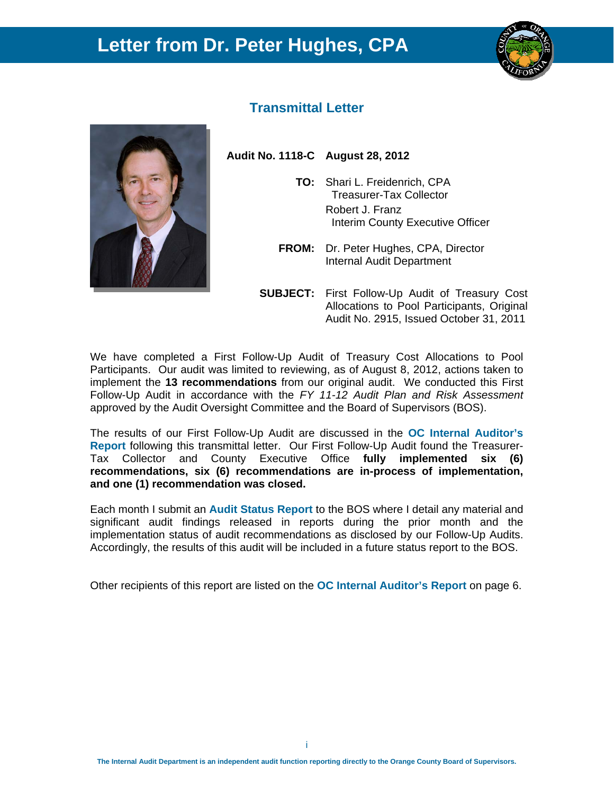## **Letter from Dr. Peter Hughes, CPA**





### **Transmittal Letter**

**Audit No. 1118-C August 28, 2012** 

- **TO:** Shari L. Freidenrich, CPA Treasurer-Tax Collector Robert J. Franz Interim County Executive Officer
- **FROM:** Dr. Peter Hughes, CPA, Director Internal Audit Department
- **SUBJECT:** First Follow-Up Audit of Treasury Cost Allocations to Pool Participants, Original Audit No. 2915, Issued October 31, 2011

We have completed a First Follow-Up Audit of Treasury Cost Allocations to Pool Participants. Our audit was limited to reviewing, as of August 8, 2012, actions taken to implement the **13 recommendations** from our original audit. We conducted this First Follow-Up Audit in accordance with the *FY 11-12 Audit Plan and Risk Assessment* approved by the Audit Oversight Committee and the Board of Supervisors (BOS).

The results of our First Follow-Up Audit are discussed in the **OC Internal Auditor's Report** following this transmittal letter. Our First Follow-Up Audit found the Treasurer-Tax Collector and County Executive Office **fully implemented six (6) recommendations, six (6) recommendations are in-process of implementation, and one (1) recommendation was closed.**

Each month I submit an **Audit Status Report** to the BOS where I detail any material and significant audit findings released in reports during the prior month and the implementation status of audit recommendations as disclosed by our Follow-Up Audits. Accordingly, the results of this audit will be included in a future status report to the BOS.

Other recipients of this report are listed on the **OC Internal Auditor's Report** on page 6.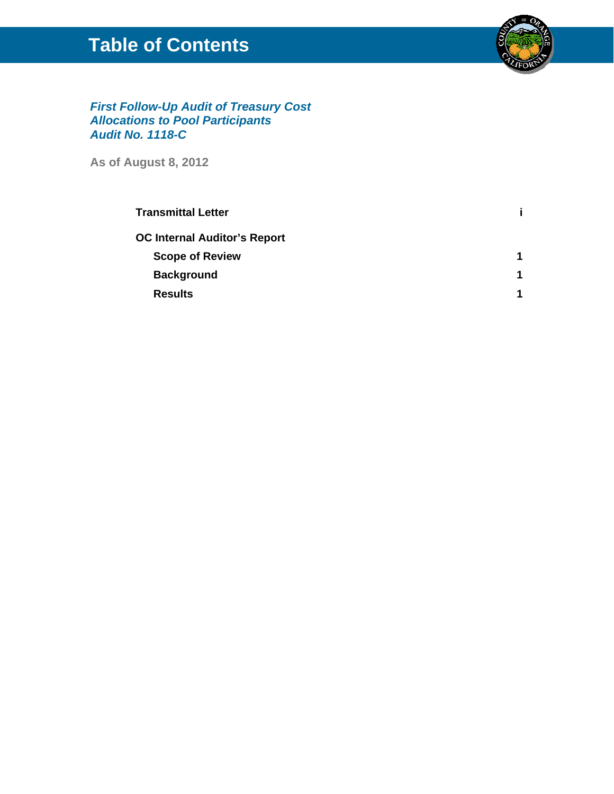## **Table of Contents**



### *First Follow-Up Audit of Treasury Cost Allocations to Pool Participants Audit No. 1118-C*

**As of August 8, 2012**

| <b>Transmittal Letter</b>           |  |
|-------------------------------------|--|
| <b>OC Internal Auditor's Report</b> |  |
| <b>Scope of Review</b>              |  |
| <b>Background</b>                   |  |
| <b>Results</b>                      |  |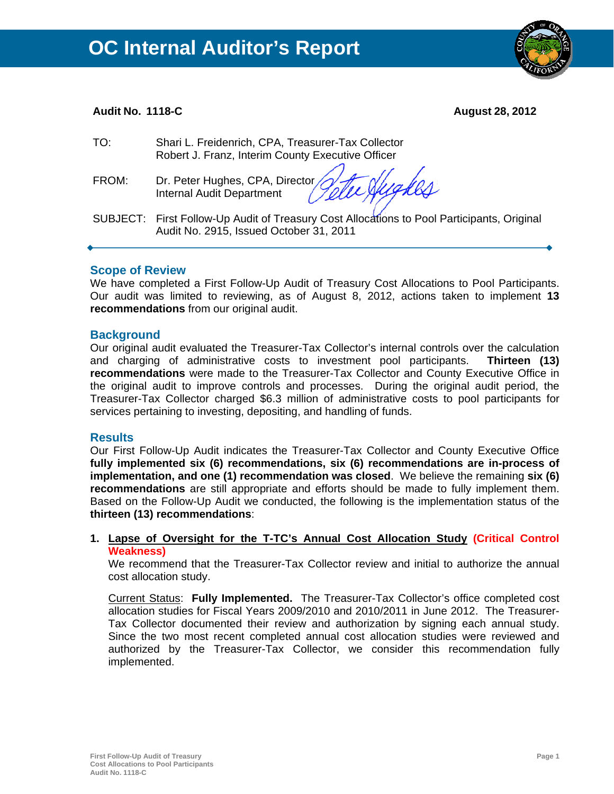### **Audit No. 1118-C August 28, 2012**

| TO:   | Shari L. Freidenrich, CPA, Treasurer-Tax Collector<br>Robert J. Franz, Interim County Executive Officer                               |
|-------|---------------------------------------------------------------------------------------------------------------------------------------|
| FROM: | Dr. Peter Hughes, CPA, Director Jette Nugles                                                                                          |
|       | SUBJECT: First Follow-Up Audit of Treasury Cost Allocations to Pool Participants, Original<br>Audit No. 2915, Issued October 31, 2011 |

### **Scope of Review**

We have completed a First Follow-Up Audit of Treasury Cost Allocations to Pool Participants. Our audit was limited to reviewing, as of August 8, 2012, actions taken to implement **13 recommendations** from our original audit.

### **Background**

Our original audit evaluated the Treasurer-Tax Collector's internal controls over the calculation and charging of administrative costs to investment pool participants. **Thirteen (13) recommendations** were made to the Treasurer-Tax Collector and County Executive Office in the original audit to improve controls and processes. During the original audit period, the Treasurer-Tax Collector charged \$6.3 million of administrative costs to pool participants for services pertaining to investing, depositing, and handling of funds.

### **Results**

Our First Follow-Up Audit indicates the Treasurer-Tax Collector and County Executive Office **fully implemented six (6) recommendations, six (6) recommendations are in-process of implementation, and one (1) recommendation was closed**. We believe the remaining **six (6) recommendations** are still appropriate and efforts should be made to fully implement them. Based on the Follow-Up Audit we conducted, the following is the implementation status of the **thirteen (13) recommendations**:

### **1. Lapse of Oversight for the T-TC's Annual Cost Allocation Study (Critical Control Weakness)**

We recommend that the Treasurer-Tax Collector review and initial to authorize the annual cost allocation study.

Current Status: **Fully Implemented.** The Treasurer-Tax Collector's office completed cost allocation studies for Fiscal Years 2009/2010 and 2010/2011 in June 2012. The Treasurer-Tax Collector documented their review and authorization by signing each annual study. Since the two most recent completed annual cost allocation studies were reviewed and authorized by the Treasurer-Tax Collector, we consider this recommendation fully implemented.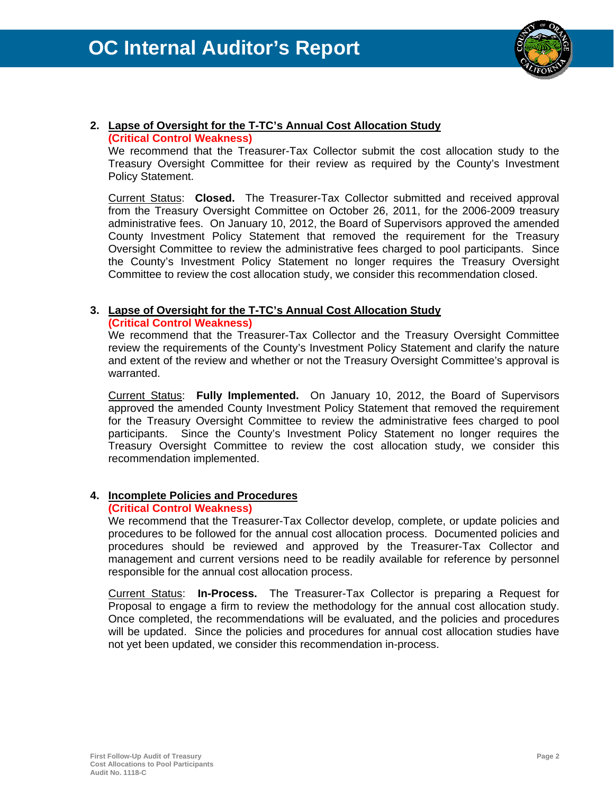

## **2. Lapse of Oversight for the T-TC's Annual Cost Allocation Study**

### **(Critical Control Weakness)**

We recommend that the Treasurer-Tax Collector submit the cost allocation study to the Treasury Oversight Committee for their review as required by the County's Investment Policy Statement.

Current Status: **Closed.** The Treasurer-Tax Collector submitted and received approval from the Treasury Oversight Committee on October 26, 2011, for the 2006-2009 treasury administrative fees. On January 10, 2012, the Board of Supervisors approved the amended County Investment Policy Statement that removed the requirement for the Treasury Oversight Committee to review the administrative fees charged to pool participants. Since the County's Investment Policy Statement no longer requires the Treasury Oversight Committee to review the cost allocation study, we consider this recommendation closed.

### **3. Lapse of Oversight for the T-TC's Annual Cost Allocation Study**

**(Critical Control Weakness)**

We recommend that the Treasurer-Tax Collector and the Treasury Oversight Committee review the requirements of the County's Investment Policy Statement and clarify the nature and extent of the review and whether or not the Treasury Oversight Committee's approval is warranted.

Current Status: **Fully Implemented.** On January 10, 2012, the Board of Supervisors approved the amended County Investment Policy Statement that removed the requirement for the Treasury Oversight Committee to review the administrative fees charged to pool participants. Since the County's Investment Policy Statement no longer requires the Treasury Oversight Committee to review the cost allocation study, we consider this recommendation implemented.

### **4. Incomplete Policies and Procedures**

### **(Critical Control Weakness)**

We recommend that the Treasurer-Tax Collector develop, complete, or update policies and procedures to be followed for the annual cost allocation process. Documented policies and procedures should be reviewed and approved by the Treasurer-Tax Collector and management and current versions need to be readily available for reference by personnel responsible for the annual cost allocation process.

Current Status: **In-Process.** The Treasurer-Tax Collector is preparing a Request for Proposal to engage a firm to review the methodology for the annual cost allocation study. Once completed, the recommendations will be evaluated, and the policies and procedures will be updated. Since the policies and procedures for annual cost allocation studies have not yet been updated, we consider this recommendation in-process.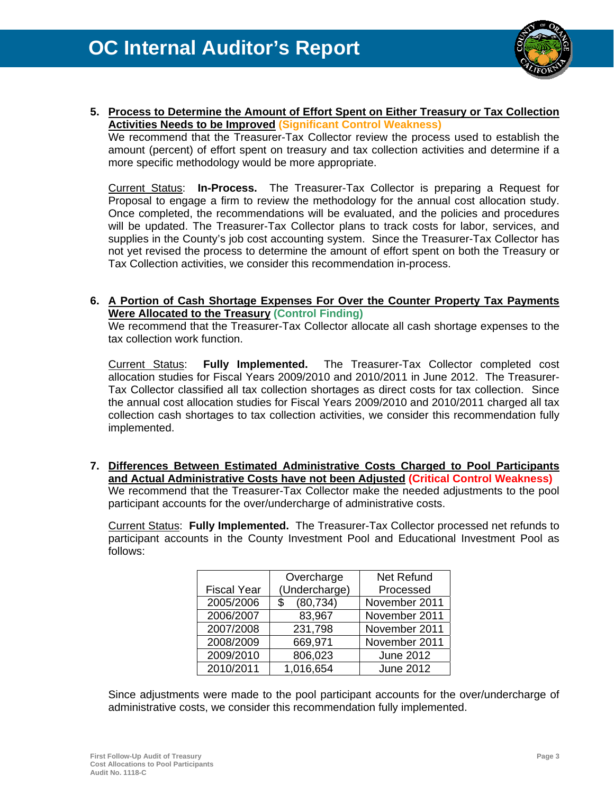

**5. Process to Determine the Amount of Effort Spent on Either Treasury or Tax Collection Activities Needs to be Improved (Significant Control Weakness)**

We recommend that the Treasurer-Tax Collector review the process used to establish the amount (percent) of effort spent on treasury and tax collection activities and determine if a more specific methodology would be more appropriate.

Current Status: **In-Process.** The Treasurer-Tax Collector is preparing a Request for Proposal to engage a firm to review the methodology for the annual cost allocation study. Once completed, the recommendations will be evaluated, and the policies and procedures will be updated. The Treasurer-Tax Collector plans to track costs for labor, services, and supplies in the County's job cost accounting system. Since the Treasurer-Tax Collector has not yet revised the process to determine the amount of effort spent on both the Treasury or Tax Collection activities, we consider this recommendation in-process.

### **6. A Portion of Cash Shortage Expenses For Over the Counter Property Tax Payments Were Allocated to the Treasury (Control Finding)**

We recommend that the Treasurer-Tax Collector allocate all cash shortage expenses to the tax collection work function.

Current Status: **Fully Implemented.** The Treasurer-Tax Collector completed cost allocation studies for Fiscal Years 2009/2010 and 2010/2011 in June 2012. The Treasurer-Tax Collector classified all tax collection shortages as direct costs for tax collection. Since the annual cost allocation studies for Fiscal Years 2009/2010 and 2010/2011 charged all tax collection cash shortages to tax collection activities, we consider this recommendation fully implemented.

**7. Differences Between Estimated Administrative Costs Charged to Pool Participants and Actual Administrative Costs have not been Adjusted (Critical Control Weakness)** We recommend that the Treasurer-Tax Collector make the needed adjustments to the pool participant accounts for the over/undercharge of administrative costs.

Current Status: **Fully Implemented.** The Treasurer-Tax Collector processed net refunds to participant accounts in the County Investment Pool and Educational Investment Pool as follows:

|                    | Overcharge      | Net Refund       |
|--------------------|-----------------|------------------|
| <b>Fiscal Year</b> | (Undercharge)   | Processed        |
| 2005/2006          | (80, 734)<br>\$ | November 2011    |
| 2006/2007          | 83,967          | November 2011    |
| 2007/2008          | 231,798         | November 2011    |
| 2008/2009          | 669,971         | November 2011    |
| 2009/2010          | 806,023         | <b>June 2012</b> |
| 2010/2011          | 1,016,654       | <b>June 2012</b> |

Since adjustments were made to the pool participant accounts for the over/undercharge of administrative costs, we consider this recommendation fully implemented.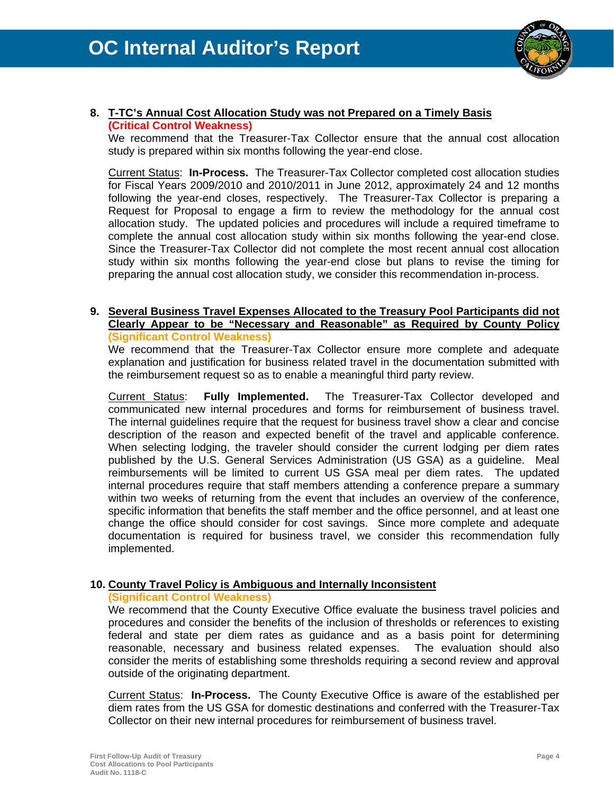

### **8. T-TC's Annual Cost Allocation Study was not Prepared on a Timely Basis (Critical Control Weakness)**

We recommend that the Treasurer-Tax Collector ensure that the annual cost allocation study is prepared within six months following the year-end close.

Current Status: **In-Process.** The Treasurer-Tax Collector completed cost allocation studies for Fiscal Years 2009/2010 and 2010/2011 in June 2012, approximately 24 and 12 months following the year-end closes, respectively. The Treasurer-Tax Collector is preparing a Request for Proposal to engage a firm to review the methodology for the annual cost allocation study. The updated policies and procedures will include a required timeframe to complete the annual cost allocation study within six months following the year-end close. Since the Treasurer-Tax Collector did not complete the most recent annual cost allocation study within six months following the year-end close but plans to revise the timing for preparing the annual cost allocation study, we consider this recommendation in-process.

### **9. Several Business Travel Expenses Allocated to the Treasury Pool Participants did not Clearly Appear to be "Necessary and Reasonable" as Required by County Policy (Significant Control Weakness)**

We recommend that the Treasurer-Tax Collector ensure more complete and adequate explanation and justification for business related travel in the documentation submitted with the reimbursement request so as to enable a meaningful third party review.

Current Status: **Fully Implemented.** The Treasurer-Tax Collector developed and communicated new internal procedures and forms for reimbursement of business travel. The internal guidelines require that the request for business travel show a clear and concise description of the reason and expected benefit of the travel and applicable conference. When selecting lodging, the traveler should consider the current lodging per diem rates published by the U.S. General Services Administration (US GSA) as a guideline. Meal reimbursements will be limited to current US GSA meal per diem rates. The updated internal procedures require that staff members attending a conference prepare a summary within two weeks of returning from the event that includes an overview of the conference, specific information that benefits the staff member and the office personnel, and at least one change the office should consider for cost savings. Since more complete and adequate documentation is required for business travel, we consider this recommendation fully implemented.

### **10. County Travel Policy is Ambiguous and Internally Inconsistent**

### **(Significant Control Weakness)**

We recommend that the County Executive Office evaluate the business travel policies and procedures and consider the benefits of the inclusion of thresholds or references to existing federal and state per diem rates as guidance and as a basis point for determining reasonable, necessary and business related expenses. The evaluation should also consider the merits of establishing some thresholds requiring a second review and approval outside of the originating department.

Current Status: **In-Process.** The County Executive Office is aware of the established per diem rates from the US GSA for domestic destinations and conferred with the Treasurer-Tax Collector on their new internal procedures for reimbursement of business travel.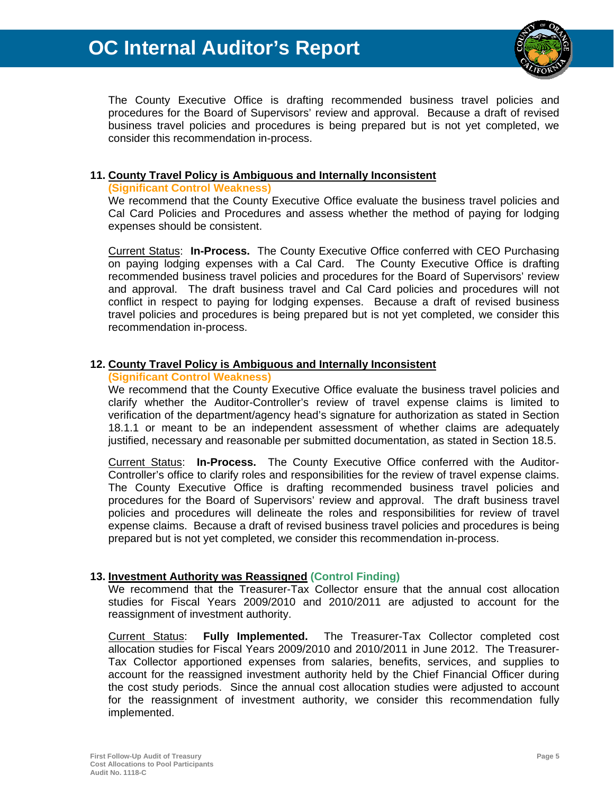# **OC Internal Auditor's Report**



The County Executive Office is drafting recommended business travel policies and procedures for the Board of Supervisors' review and approval. Because a draft of revised business travel policies and procedures is being prepared but is not yet completed, we consider this recommendation in-process.

### **11. County Travel Policy is Ambiguous and Internally Inconsistent**

### **(Significant Control Weakness)**

We recommend that the County Executive Office evaluate the business travel policies and Cal Card Policies and Procedures and assess whether the method of paying for lodging expenses should be consistent.

Current Status: **In-Process.** The County Executive Office conferred with CEO Purchasing on paying lodging expenses with a Cal Card. The County Executive Office is drafting recommended business travel policies and procedures for the Board of Supervisors' review and approval. The draft business travel and Cal Card policies and procedures will not conflict in respect to paying for lodging expenses. Because a draft of revised business travel policies and procedures is being prepared but is not yet completed, we consider this recommendation in-process.

### **12. County Travel Policy is Ambiguous and Internally Inconsistent**

### **(Significant Control Weakness)**

We recommend that the County Executive Office evaluate the business travel policies and clarify whether the Auditor-Controller's review of travel expense claims is limited to verification of the department/agency head's signature for authorization as stated in Section 18.1.1 or meant to be an independent assessment of whether claims are adequately justified, necessary and reasonable per submitted documentation, as stated in Section 18.5.

Current Status: **In-Process.** The County Executive Office conferred with the Auditor-Controller's office to clarify roles and responsibilities for the review of travel expense claims. The County Executive Office is drafting recommended business travel policies and procedures for the Board of Supervisors' review and approval. The draft business travel policies and procedures will delineate the roles and responsibilities for review of travel expense claims. Because a draft of revised business travel policies and procedures is being prepared but is not yet completed, we consider this recommendation in-process.

### **13. Investment Authority was Reassigned (Control Finding)**

We recommend that the Treasurer-Tax Collector ensure that the annual cost allocation studies for Fiscal Years 2009/2010 and 2010/2011 are adjusted to account for the reassignment of investment authority.

Current Status: **Fully Implemented.** The Treasurer-Tax Collector completed cost allocation studies for Fiscal Years 2009/2010 and 2010/2011 in June 2012. The Treasurer-Tax Collector apportioned expenses from salaries, benefits, services, and supplies to account for the reassigned investment authority held by the Chief Financial Officer during the cost study periods. Since the annual cost allocation studies were adjusted to account for the reassignment of investment authority, we consider this recommendation fully implemented.